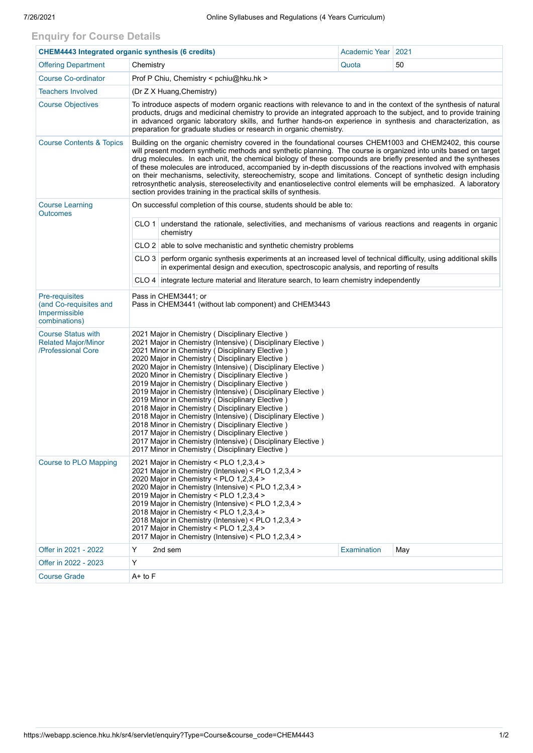## **Enquiry for Course Details**

| <b>CHEM4443 Integrated organic synthesis (6 credits)</b>                      |                                                                                                                                                                                                                                                                                                                                                                                                                                                                                                                                                                                                                                                                                                                                                                                                                                                       |                    | Academic Year   2021 |  |  |  |  |  |  |
|-------------------------------------------------------------------------------|-------------------------------------------------------------------------------------------------------------------------------------------------------------------------------------------------------------------------------------------------------------------------------------------------------------------------------------------------------------------------------------------------------------------------------------------------------------------------------------------------------------------------------------------------------------------------------------------------------------------------------------------------------------------------------------------------------------------------------------------------------------------------------------------------------------------------------------------------------|--------------------|----------------------|--|--|--|--|--|--|
| <b>Offering Department</b>                                                    | Chemistry                                                                                                                                                                                                                                                                                                                                                                                                                                                                                                                                                                                                                                                                                                                                                                                                                                             | Quota              | 50                   |  |  |  |  |  |  |
| <b>Course Co-ordinator</b>                                                    | Prof P Chiu, Chemistry < pchiu@hku.hk >                                                                                                                                                                                                                                                                                                                                                                                                                                                                                                                                                                                                                                                                                                                                                                                                               |                    |                      |  |  |  |  |  |  |
| <b>Teachers Involved</b>                                                      | (Dr Z X Huang, Chemistry)                                                                                                                                                                                                                                                                                                                                                                                                                                                                                                                                                                                                                                                                                                                                                                                                                             |                    |                      |  |  |  |  |  |  |
| <b>Course Objectives</b>                                                      | To introduce aspects of modern organic reactions with relevance to and in the context of the synthesis of natural<br>products, drugs and medicinal chemistry to provide an integrated approach to the subject, and to provide training<br>in advanced organic laboratory skills, and further hands-on experience in synthesis and characterization, as<br>preparation for graduate studies or research in organic chemistry.                                                                                                                                                                                                                                                                                                                                                                                                                          |                    |                      |  |  |  |  |  |  |
| <b>Course Contents &amp; Topics</b>                                           | Building on the organic chemistry covered in the foundational courses CHEM1003 and CHEM2402, this course<br>will present modern synthetic methods and synthetic planning. The course is organized into units based on target<br>drug molecules. In each unit, the chemical biology of these compounds are briefly presented and the syntheses<br>of these molecules are introduced, accompanied by in-depth discussions of the reactions involved with emphasis<br>on their mechanisms, selectivity, stereochemistry, scope and limitations. Concept of synthetic design including<br>retrosynthetic analysis, stereoselectivity and enantioselective control elements will be emphasized. A laboratory<br>section provides training in the practical skills of synthesis.                                                                            |                    |                      |  |  |  |  |  |  |
| <b>Course Learning</b><br><b>Outcomes</b>                                     | On successful completion of this course, students should be able to:                                                                                                                                                                                                                                                                                                                                                                                                                                                                                                                                                                                                                                                                                                                                                                                  |                    |                      |  |  |  |  |  |  |
|                                                                               | CLO 1 understand the rationale, selectivities, and mechanisms of various reactions and reagents in organic<br>chemistry                                                                                                                                                                                                                                                                                                                                                                                                                                                                                                                                                                                                                                                                                                                               |                    |                      |  |  |  |  |  |  |
|                                                                               | CLO 2 able to solve mechanistic and synthetic chemistry problems                                                                                                                                                                                                                                                                                                                                                                                                                                                                                                                                                                                                                                                                                                                                                                                      |                    |                      |  |  |  |  |  |  |
|                                                                               | CLO 3 perform organic synthesis experiments at an increased level of technical difficulty, using additional skills<br>in experimental design and execution, spectroscopic analysis, and reporting of results                                                                                                                                                                                                                                                                                                                                                                                                                                                                                                                                                                                                                                          |                    |                      |  |  |  |  |  |  |
|                                                                               | CLO 4   integrate lecture material and literature search, to learn chemistry independently                                                                                                                                                                                                                                                                                                                                                                                                                                                                                                                                                                                                                                                                                                                                                            |                    |                      |  |  |  |  |  |  |
| Pre-requisites<br>(and Co-requisites and<br>Impermissible<br>combinations)    | Pass in CHEM3441; or<br>Pass in CHEM3441 (without lab component) and CHEM3443                                                                                                                                                                                                                                                                                                                                                                                                                                                                                                                                                                                                                                                                                                                                                                         |                    |                      |  |  |  |  |  |  |
| <b>Course Status with</b><br><b>Related Major/Minor</b><br>/Professional Core | 2021 Major in Chemistry (Disciplinary Elective)<br>2021 Major in Chemistry (Intensive) (Disciplinary Elective)<br>2021 Minor in Chemistry (Disciplinary Elective)<br>2020 Major in Chemistry (Disciplinary Elective)<br>2020 Major in Chemistry (Intensive) (Disciplinary Elective)<br>2020 Minor in Chemistry (Disciplinary Elective)<br>2019 Major in Chemistry (Disciplinary Elective)<br>2019 Major in Chemistry (Intensive) (Disciplinary Elective)<br>2019 Minor in Chemistry (Disciplinary Elective)<br>2018 Major in Chemistry (Disciplinary Elective)<br>2018 Major in Chemistry (Intensive) (Disciplinary Elective)<br>2018 Minor in Chemistry (Disciplinary Elective)<br>2017 Major in Chemistry (Disciplinary Elective)<br>2017 Major in Chemistry (Intensive) (Disciplinary Elective)<br>2017 Minor in Chemistry (Disciplinary Elective) |                    |                      |  |  |  |  |  |  |
| Course to PLO Mapping                                                         | 2021 Major in Chemistry < PLO $1,2,3,4$ ><br>2021 Major in Chemistry (Intensive) < PLO 1,2,3,4 ><br>2020 Major in Chemistry < PLO 1,2,3,4 ><br>2020 Major in Chemistry (Intensive) < PLO 1,2,3,4 ><br>2019 Major in Chemistry < PLO 1,2,3,4 ><br>2019 Major in Chemistry (Intensive) < PLO 1,2,3,4 ><br>2018 Major in Chemistry < PLO 1,2,3,4 ><br>2018 Major in Chemistry (Intensive) < PLO 1,2,3,4 ><br>2017 Major in Chemistry < PLO 1,2,3,4 ><br>2017 Major in Chemistry (Intensive) < PLO 1,2,3,4 >                                                                                                                                                                                                                                                                                                                                              |                    |                      |  |  |  |  |  |  |
| Offer in 2021 - 2022                                                          | Y<br>2nd sem                                                                                                                                                                                                                                                                                                                                                                                                                                                                                                                                                                                                                                                                                                                                                                                                                                          | <b>Examination</b> | May                  |  |  |  |  |  |  |
| Offer in 2022 - 2023                                                          | Y                                                                                                                                                                                                                                                                                                                                                                                                                                                                                                                                                                                                                                                                                                                                                                                                                                                     |                    |                      |  |  |  |  |  |  |
| <b>Course Grade</b>                                                           | $A+$ to $F$                                                                                                                                                                                                                                                                                                                                                                                                                                                                                                                                                                                                                                                                                                                                                                                                                                           |                    |                      |  |  |  |  |  |  |